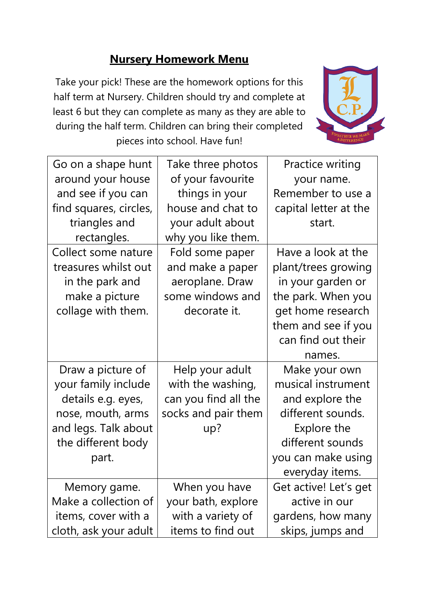## **Nursery Homework Menu**

Take your pick! These are the homework options for this half term at Nursery. Children should try and complete at least 6 but they can complete as many as they are able to during the half term. Children can bring their completed pieces into school. Have fun!



| Go on a shape hunt     | Take three photos    | <b>Practice writing</b> |
|------------------------|----------------------|-------------------------|
| around your house      | of your favourite    | your name.              |
| and see if you can     | things in your       | Remember to use a       |
| find squares, circles, | house and chat to    | capital letter at the   |
| triangles and          | your adult about     | start.                  |
| rectangles.            | why you like them.   |                         |
| Collect some nature    | Fold some paper      | Have a look at the      |
| treasures whilst out   | and make a paper     | plant/trees growing     |
| in the park and        | aeroplane. Draw      | in your garden or       |
| make a picture         | some windows and     | the park. When you      |
| collage with them.     | decorate it.         | get home research       |
|                        |                      | them and see if you     |
|                        |                      | can find out their      |
|                        |                      | names.                  |
| Draw a picture of      | Help your adult      | Make your own           |
| your family include    | with the washing,    | musical instrument      |
| details e.g. eyes,     | can you find all the | and explore the         |
| nose, mouth, arms      | socks and pair them  | different sounds.       |
| and legs. Talk about   | up?                  | Explore the             |
| the different body     |                      | different sounds        |
| part.                  |                      | you can make using      |
|                        |                      | everyday items.         |
| Memory game.           | When you have        | Get active! Let's get   |
| Make a collection of   | your bath, explore   | active in our           |
| items, cover with a    | with a variety of    | gardens, how many       |
|                        |                      |                         |